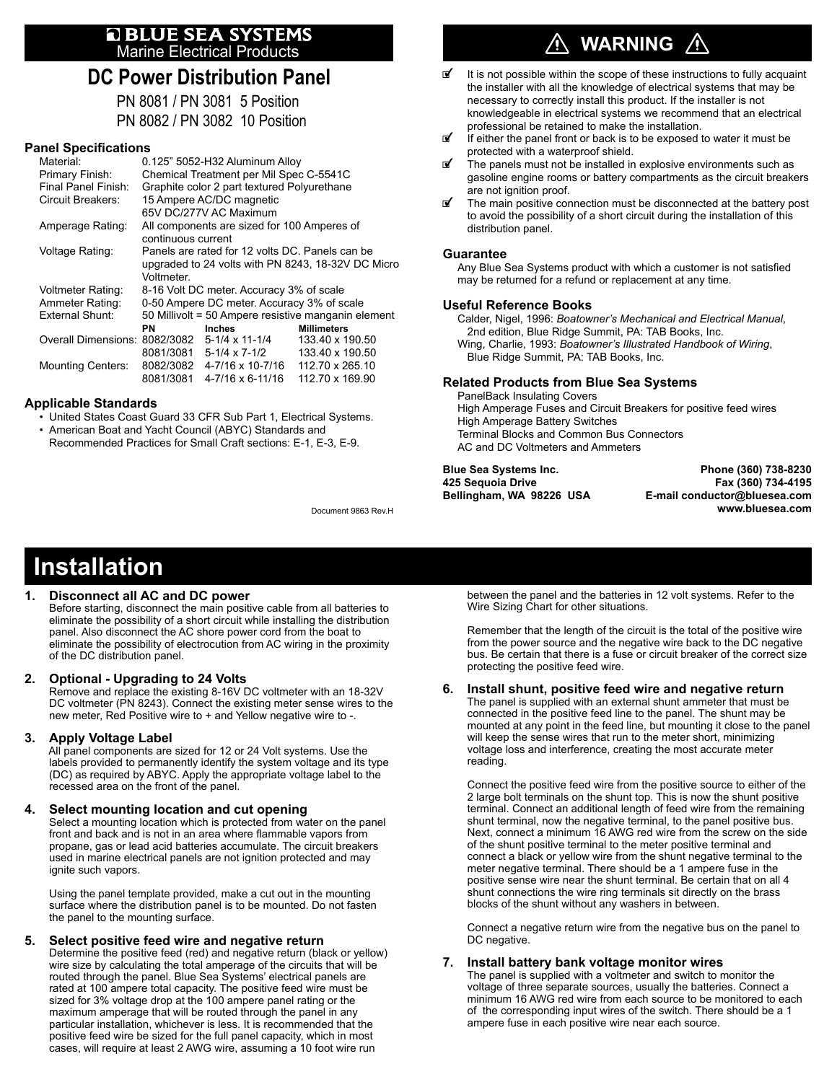# **E BLUE SEA SYSTEMS**<br>Marine Electrical Products

### **DC Power Distribution Panel**

PN 8081 / PN 3081 5 Position PN 8082 / PN 3082 10 Position

#### **Panel Specifications**

| Material:                     | 0.125" 5052-H32 Aluminum Alloy                      |                             |                    |  |  |  |  |  |
|-------------------------------|-----------------------------------------------------|-----------------------------|--------------------|--|--|--|--|--|
| Primary Finish:               | Chemical Treatment per Mil Spec C-5541C             |                             |                    |  |  |  |  |  |
| Final Panel Finish:           | Graphite color 2 part textured Polyurethane         |                             |                    |  |  |  |  |  |
| Circuit Breakers:             | 15 Ampere AC/DC magnetic                            |                             |                    |  |  |  |  |  |
|                               |                                                     | 65V DC/277V AC Maximum      |                    |  |  |  |  |  |
| Amperage Rating:              | All components are sized for 100 Amperes of         |                             |                    |  |  |  |  |  |
|                               | continuous current                                  |                             |                    |  |  |  |  |  |
| Voltage Rating:               | Panels are rated for 12 volts DC. Panels can be     |                             |                    |  |  |  |  |  |
|                               | upgraded to 24 volts with PN 8243, 18-32V DC Micro  |                             |                    |  |  |  |  |  |
|                               | Voltmeter.                                          |                             |                    |  |  |  |  |  |
| Voltmeter Rating:             | 8-16 Volt DC meter. Accuracy 3% of scale            |                             |                    |  |  |  |  |  |
| Ammeter Rating:               | 0-50 Ampere DC meter. Accuracy 3% of scale          |                             |                    |  |  |  |  |  |
| External Shunt:               | 50 Millivolt = 50 Ampere resistive manganin element |                             |                    |  |  |  |  |  |
|                               | <b>PN</b>                                           | <b>Inches</b>               | <b>Millimeters</b> |  |  |  |  |  |
| Overall Dimensions: 8082/3082 |                                                     | $5-1/4 \times 11-1/4$       | 133 40 x 190 50    |  |  |  |  |  |
|                               |                                                     | 8081/3081 5-1/4 x 7-1/2     | 133.40 x 190.50    |  |  |  |  |  |
| <b>Mounting Centers:</b>      |                                                     | 8082/3082 4-7/16 x 10-7/16  | 112.70 x 265.10    |  |  |  |  |  |
|                               | 8081/3081                                           | $4 - 7/16 \times 6 - 11/16$ | 112.70 x 169.90    |  |  |  |  |  |

#### **Applicable Standards**

- United States Coast Guard 33 CFR Sub Part 1, Electrical Systems. • American Boat and Yacht Council (ABYC) Standards and
- Recommended Practices for Small Craft sections: E-1, E-3, E-9.

### $\hat{\wedge}$  WARNING  $\hat{\wedge}$

- It is not possible within the scope of these instructions to fully acquaint the installer with all the knowledge of electrical systems that may be necessary to correctly install this product. If the installer is not knowledgeable in electrical systems we recommend that an electrical professional be retained to make the installation.
- $\mathbb{F}$  If either the panel front or back is to be exposed to water it must be protected with a waterproof shield.
- $\mathbb{F}$  The panels must not be installed in explosive environments such as gasoline engine rooms or battery compartments as the circuit breakers are not ignition proof.
- The main positive connection must be disconnected at the battery post to avoid the possibility of a short circuit during the installation of this distribution panel.

#### **Guarantee**

Any Blue Sea Systems product with which a customer is not satisfied may be returned for a refund or replacement at any time.

#### **Useful Reference Books**

Calder, Nigel, 1996: *Boatowner's Mechanical and Electrical Manual*, 2nd edition, Blue Ridge Summit, PA: TAB Books, Inc. Wing, Charlie, 1993: *Boatowner's Illustrated Handbook of Wiring*, Blue Ridge Summit, PA: TAB Books, Inc.

#### **Related Products from Blue Sea Systems**

PanelBack Insulating Covers High Amperage Fuses and Circuit Breakers for positive feed wires High Amperage Battery Switches Terminal Blocks and Common Bus Connectors AC and DC Voltmeters and Ammeters

**Blue Sea Systems Inc. Phone (360) 738-8230 425 Sequoia Drive Fax (360) 734-4195 Bellingham, WA 98226 USA E-mail conductor@bluesea.com** Document 9863 Rev.H **www.bluesea.com**

## **Installation**

#### **1. Disconnect all AC and DC power**

 Before starting, disconnect the main positive cable from all batteries to eliminate the possibility of a short circuit while installing the distribution panel. Also disconnect the AC shore power cord from the boat to eliminate the possibility of electrocution from AC wiring in the proximity of the DC distribution panel.

#### **2. Optional - Upgrading to 24 Volts**

 Remove and replace the existing 8-16V DC voltmeter with an 18-32V DC voltmeter (PN 8243). Connect the existing meter sense wires to the new meter, Red Positive wire to + and Yellow negative wire to -.

#### **3. Apply Voltage Label**

 All panel components are sized for 12 or 24 Volt systems. Use the labels provided to permanently identify the system voltage and its type (DC) as required by ABYC. Apply the appropriate voltage label to the recessed area on the front of the panel.

#### **4. Select mounting location and cut opening**

Select a mounting location which is protected from water on the panel front and back and is not in an area where flammable vapors from propane, gas or lead acid batteries accumulate. The circuit breakers used in marine electrical panels are not ignition protected and may ignite such vapors.

 Using the panel template provided, make a cut out in the mounting surface where the distribution panel is to be mounted. Do not fasten the panel to the mounting surface.

#### **5. Select positive feed wire and negative return**

 Determine the positive feed (red) and negative return (black or yellow) wire size by calculating the total amperage of the circuits that will be routed through the panel. Blue Sea Systems' electrical panels are rated at 100 ampere total capacity. The positive feed wire must be sized for 3% voltage drop at the 100 ampere panel rating or the maximum amperage that will be routed through the panel in any particular installation, whichever is less. It is recommended that the positive feed wire be sized for the full panel capacity, which in most cases, will require at least 2 AWG wire, assuming a 10 foot wire run

 between the panel and the batteries in 12 volt systems. Refer to the Wire Sizing Chart for other situations.

 Remember that the length of the circuit is the total of the positive wire from the power source and the negative wire back to the DC negative bus. Be certain that there is a fuse or circuit breaker of the correct size protecting the positive feed wire.

#### **6. Install shunt, positive feed wire and negative return**

 The panel is supplied with an external shunt ammeter that must be connected in the positive feed line to the panel. The shunt may be mounted at any point in the feed line, but mounting it close to the panel will keep the sense wires that run to the meter short, minimizing voltage loss and interference, creating the most accurate meter reading.

 Connect the positive feed wire from the positive source to either of the 2 large bolt terminals on the shunt top. This is now the shunt positive terminal. Connect an additional length of feed wire from the remaining shunt terminal, now the negative terminal, to the panel positive bus. Next, connect a minimum 16 AWG red wire from the screw on the side of the shunt positive terminal to the meter positive terminal and connect a black or yellow wire from the shunt negative terminal to the meter negative terminal. There should be a 1 ampere fuse in the positive sense wire near the shunt terminal. Be certain that on all 4 shunt connections the wire ring terminals sit directly on the brass blocks of the shunt without any washers in between.

 Connect a negative return wire from the negative bus on the panel to DC negative.

#### **7. Install battery bank voltage monitor wires**

 The panel is supplied with a voltmeter and switch to monitor the voltage of three separate sources, usually the batteries. Connect a minimum 16 AWG red wire from each source to be monitored to each of the corresponding input wires of the switch. There should be a 1 ampere fuse in each positive wire near each source.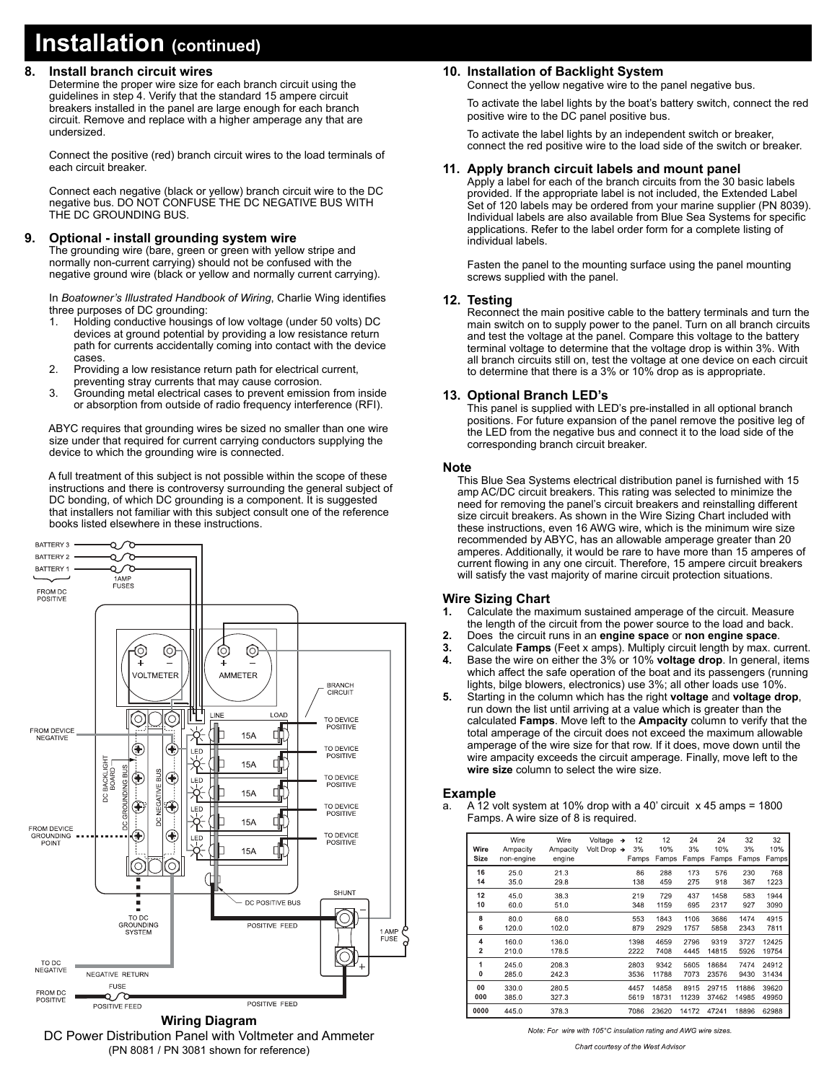## **Installation (continued)**

#### **8. Install branch circuit wires**

 Determine the proper wire size for each branch circuit using the guidelines in step 4. Verify that the standard 15 ampere circuit breakers installed in the panel are large enough for each branch circuit. Remove and replace with a higher amperage any that are undersized.

 Connect the positive (red) branch circuit wires to the load terminals of each circuit breaker.

 Connect each negative (black or yellow) branch circuit wire to the DC negative bus. DO NOT CONFUSE THE DC NEGATIVE BUS WITH THE DC GROUNDING BUS.

#### **9. Optional - install grounding system wire**

 The grounding wire (bare, green or green with yellow stripe and normally non-current carrying) should not be confused with the negative ground wire (black or yellow and normally current carrying).

In *Boatowner's Illustrated Handbook of Wiring*, Charlie Wing identifies three purposes of DC grounding:

- 1. Holding conductive housings of low voltage (under 50 volts) DC devices at ground potential by providing a low resistance return path for currents accidentally coming into contact with the device cases.<br>2 Provid
- Providing a low resistance return path for electrical current, preventing stray currents that may cause corrosion.
- 3. Grounding metal electrical cases to prevent emission from inside or absorption from outside of radio frequency interference (RFI).

 ABYC requires that grounding wires be sized no smaller than one wire size under that required for current carrying conductors supplying the device to which the grounding wire is connected.

 A full treatment of this subject is not possible within the scope of these instructions and there is controversy surrounding the general subject of DC bonding, of which DC grounding is a component. It is suggested that installers not familiar with this subject consult one of the reference books listed elsewhere in these instructions.



#### **Wiring Diagram** DC Power Distribution Panel with Voltmeter and Ammeter

### (PN 8081 / PN 3081 shown for reference)

#### **10. Installation of Backlight System**

Connect the yellow negative wire to the panel negative bus.

 To activate the label lights by the boat's battery switch, connect the red positive wire to the DC panel positive bus.

 To activate the label lights by an independent switch or breaker, connect the red positive wire to the load side of the switch or breaker.

#### **11. Apply branch circuit labels and mount panel**

Apply a label for each of the branch circuits from the 30 basic labels provided. If the appropriate label is not included, the Extended Label Set of 120 labels may be ordered from your marine supplier (PN 8039). Individual labels are also available from Blue Sea Systems for specific applications. Refer to the label order form for a complete listing of individual labels.

Fasten the panel to the mounting surface using the panel mounting screws supplied with the panel.

#### **12. Testing**

 Reconnect the main positive cable to the battery terminals and turn the main switch on to supply power to the panel. Turn on all branch circuits and test the voltage at the panel. Compare this voltage to the battery terminal voltage to determine that the voltage drop is within 3%. With all branch circuits still on, test the voltage at one device on each circuit to determine that there is a 3% or 10% drop as is appropriate.

#### **13. Optional Branch LED's**

 This panel is supplied with LED's pre-installed in all optional branch positions. For future expansion of the panel remove the positive leg of the LED from the negative bus and connect it to the load side of the corresponding branch circuit breaker.

#### **Note**

This Blue Sea Systems electrical distribution panel is furnished with 15 amp AC/DC circuit breakers. This rating was selected to minimize the need for removing the panel's circuit breakers and reinstalling different size circuit breakers. As shown in the Wire Sizing Chart included with these instructions, even 16 AWG wire, which is the minimum wire size recommended by ABYC, has an allowable amperage greater than 20 amperes. Additionally, it would be rare to have more than 15 amperes of current flowing in any one circuit. Therefore, 15 ampere circuit breakers will satisfy the vast majority of marine circuit protection situations.

#### **Wire Sizing Chart**

- **1.** Calculate the maximum sustained amperage of the circuit. Measure the length of the circuit from the power source to the load and back.
- **2.** Does the circuit runs in an **engine space** or **non engine space**.
- **3.** Calculate **Famps** (Feet x amps). Multiply circuit length by max. current.
- **4.** Base the wire on either the 3% or 10% **voltage drop**. In general, items which affect the safe operation of the boat and its passengers (running lights, bilge blowers, electronics) use 3%; all other loads use 10%.
- **5.** Starting in the column which has the right **voltage** and **voltage drop**, run down the list until arriving at a value which is greater than the calculated **Famps**. Move left to the **Ampacity** column to verify that the total amperage of the circuit does not exceed the maximum allowable amperage of the wire size for that row. If it does, move down until the wire ampacity exceeds the circuit amperage. Finally, move left to the **wire size** column to select the wire size.

#### **Example**

a. A 12 volt system at 10% drop with a 40' circuit  $\times$  45 amps = 1800 Famps. A wire size of 8 is required.

| Wire<br>Size            | Wire<br>Ampacity<br>non-engine | Wire<br>Ampacity<br>engine | Voltage<br>Volt Drop $\rightarrow$ | 12<br>$\rightarrow$<br>3%<br>Famps | 12<br>10%<br>Famps | 24<br>3%<br>Famps | 24<br>10%<br>Famps | 32<br>3%<br>Famps | 32<br>10%<br>Famps |
|-------------------------|--------------------------------|----------------------------|------------------------------------|------------------------------------|--------------------|-------------------|--------------------|-------------------|--------------------|
| 16                      | 25.0                           | 21.3                       |                                    | 86                                 | 288                | 173               | 576                | 230               | 768                |
| 14                      | 35.0                           | 29.8                       |                                    | 138                                | 459                | 275               | 918                | 367               | 1223               |
| 12                      | 45.0                           | 38.3                       |                                    | 219                                | 729                | 437               | 1458               | 583               | 1944               |
| 10                      | 60.0                           | 51.0                       |                                    | 348                                | 1159               | 695               | 2317               | 927               | 3090               |
| 8                       | 80.0                           | 68.0                       |                                    | 553                                | 1843               | 1106              | 3686               | 1474              | 4915               |
| 6                       | 120.0                          | 102.0                      |                                    | 879                                | 2929               | 1757              | 5858               | 2343              | 7811               |
| $\overline{\mathbf{4}}$ | 160.0                          | 136.0                      |                                    | 1398                               | 4659               | 2796              | 9319               | 3727              | 12425              |
| $\overline{\mathbf{2}}$ | 210.0                          | 178.5                      |                                    | 2222                               | 7408               | 4445              | 14815              | 5926              | 19754              |
| 1                       | 245.0                          | 208.3                      |                                    | 2803                               | 9342               | 5605              | 18684              | 7474              | 24912              |
| 0                       | 285.0                          | 242.3                      |                                    | 3536                               | 11788              | 7073              | 23576              | 9430              | 31434              |
| 00                      | 330.0                          | 280.5                      |                                    | 4457                               | 14858              | 8915              | 29715              | 11886             | 39620              |
| 000                     | 385.0                          | 327.3                      |                                    | 5619                               | 18731              | 11239             | 37462              | 14985             | 49950              |
| 0000                    | 445.0                          | 378.3                      |                                    | 7086                               | 23620              | 14172             | 47241              | 18896             | 62988              |

Note: For wire with 105°C insulation rating and AWG wire sizes

Chart courtesy of the West Advisor